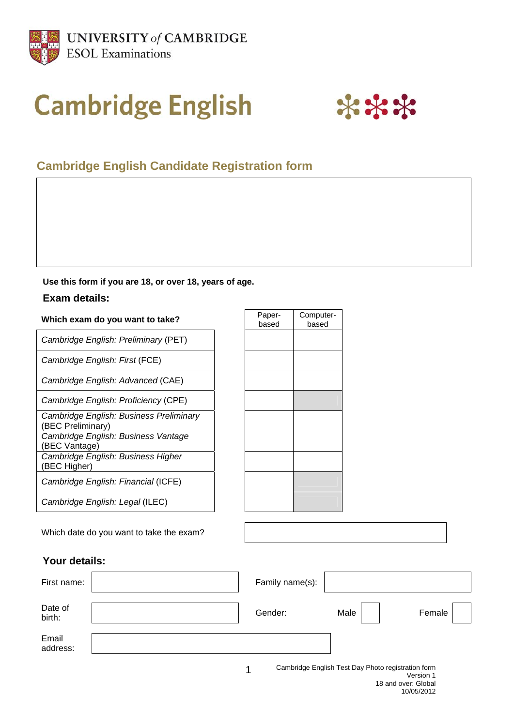

# **Cambridge English**



# **Cambridge English Candidate Registration form**

#### **Use this form if you are 18, or over 18, years of age.**

### **Exam details:**

# **Which exam do you want to take?** Paper-

*Cambridge English: Preliminary* (PET)

*Cambridge English: First* (FCE)

*Cambridge English: Advanced* (CAE)

*Cambridge English: Proficiency* (CPE)

*Cambridge English: Business Preliminary* (BEC Preliminary) *Cambridge English: Business Vantage* (BEC Vantage) *Cambridge English: Business Higher*  (BEC Higher) *Cambridge English: Financial* (ICFE)

based Computerbased

Which date do you want to take the exam?

*Cambridge English: Legal* (ILEC)

## **Your details:**

| First name:       | Family name(s): |      |        |
|-------------------|-----------------|------|--------|
| Date of<br>birth: | Gender:         | Male | Female |
| Email<br>address: |                 |      |        |

1